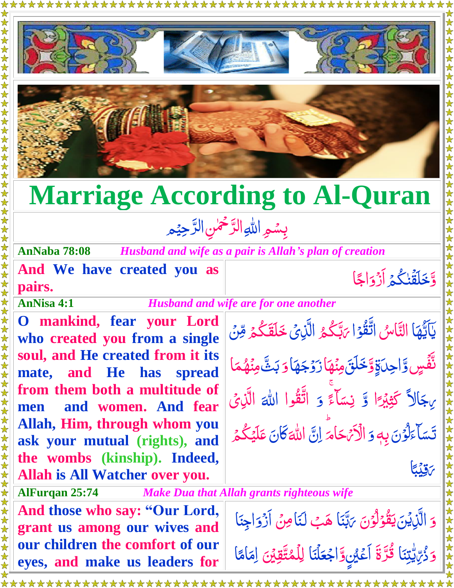





## **Marriage According to Al-Quran**

## بِسُمِ اللهِ الرَّحْمٰنِ الرَّحِيْمِ  $\tilde{a}$ رّ<br>\_  $\frac{1}{2}$ رّ<br>\_

**AnNaba 78:08** *Husband and wife as a pair is Allah's plan of creation*

**And We have created you as pairs.**

**AnNisa 4:1** *Husband and wife are for one another*

**O mankind, fear your Lord who created you from a single soul, and He created from it its mate, and He has spread from them both a multitude of men and women. And fear Allah, Him, through whom you ask your mutual (rights), and the wombs (kinship). Indeed, Allah is All Watcher over you.**

يَآَيُّهَا التَّاسُ اتَّقُوۡۤا رَبَّكُمُ نا<br>ام  $\frac{1}{2}$ ٰ  $\ddot{\ddot{\zeta}}$ <u>أ</u> ن<br>م **گر**<br>گر <u>ت</u> باء ىَبَّكُمُ الَّذِىْ خَلَقَكُمْ مِّن<mark>ْ</mark> ے<br>ا  $\int$ ر<br>گ  $\sum_{i=1}^{n}$ نَّفَّسٍ وَّاحِدَةٍ وَّخَلَقَ مِنۡهَا زَوۡجَهَا  $\tilde{c}$ ֡֟֟֟֟֟֟֟֟֟֟֟׆<br>֧֢֧֢֢֦֧֪֪֪֦֘֘ ا Ï Ï ن<br>مُ َّ زَوْجَهَا <u>ُ</u><br>ُ َّ و*َ بَ*ثَّ مِنۡهُمَا **م** م ه ن مِ  $\overline{\mathcal{L}}$ ن<br>مُ الً َّ ىِجَالاً كَثِبْرًَا ֡<u>֓</u> ِ<br>يَذِينُ لک<br>من َّ ث كَّ و Ï ءَ<br>-ٓاء **سَا** ِس ن ۚ وَ اتَّقُوا ڗ الله اللَّذِي ِ<br>ُ  $\tilde{\zeta}$ َّ دځ <u>أ</u> ا َ<br>ا ل ِ<br>ع ٓاء **سَا** تَسَاءَلُوۡنَ بِهٖ َّ و ر<br>ا ام َّ الْأَيْهَ اَمَّ إِنَّ J<br>|  $\ddot{\cdot}$ للَّٰہَ كَانَ عَلَيۡكُمۡ *لَّ* ا ر<br>گ  $\frac{1}{2}$ عَلَيْكُمْ ا ب<br>أ ِ<br>قِيلِي لَي<br>ا ن<br>ا ر

وَّخَلَقُنٰكُمۡ أَزۡوَاجًا

֘֝

ہ<br>ا

<u>رَ</u><br>\_ اج ا<br>ا أَزْوَاجًا ֺ֦֝֝<br>֖֚֚֝֝

ق<br>-

**AlFurqan 25:74** *Make Dua that Allah grants righteous wife* **And those who say: "Our Lord, grant us among our wives and our children the comfort of our eyes, and make us leaders for**  َّ و َّ الَّزِيْنَ  $\sum_{n=1}^{\infty}$  $\int$ َّ غۇلۇن <u>أ</u> ا َ<br>مو ل <u>أ</u> ام<br>م يَقُوْلُوۡنَ يَاتِّبَا  $\frac{1}{2}$ اء ب. <u>َ</u><br>پ بَّتَنَا هَبُ لَنَامِنُ أَزْوَاجِنَا ا<br>ا  $\tilde{\cdot}$ َّ أَزْوَاجِنَا ام<br>ا َّ وَذُرِّيٌّلِيْنَا قُرَّةَ أَعْيُنٍوَّاجُعَلْنَا  $\frac{7}{1}$ ر<br>د ه رّ<br>ر ا<br>ف  $\frac{1}{2}$ ِ<br>ءَ ق<br>ا اجْعَلْنَا لِلْمُتَّقِيْنَ لِمَامًا ۡ ž ∕∕<br>—  $\tilde{\mathbf{A}}$ ام م<br>ا م ِ ا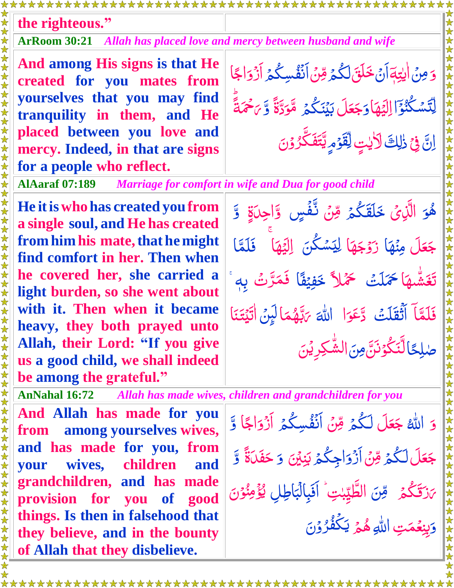**the righteous."**

**ArRoom 30:21** *Allah has placed love and mercy between husband and wife*

**And among His signs is that He created for you mates from yourselves that you may find tranquility in them, and He placed between you love and mercy. Indeed, in that are signs for a people who reflect.**

َّ وَ مِنْ اٰيِتِهَ آنَ خَلَقَ لَكُمْ مِّنْ آنَفُسِكُمْ آزَ  $\frac{1}{2}$ ٰ ے<br>ا ۔<br>گ  $\tilde{\cdot}$  $\tilde{\bm{\xi}}$ ۔<br>گ **ُ**<br>م اُ<br>ا اس<br>سا َّ وائجا ر<br>ا اج ٰۤا <u>أ</u> و ُكن س َّ ت ِ ا ل َّ ه ي َّ ن<br>ا  $\tilde{a}$ ֘֟֟֟֟֟֟֟֟֟֟֟֟֬֟׆<br>֧֪֪֪ ں<br>ایک ل  $\overline{\int}$ ا َّ وَجَعَلَ <u>أ</u> ع َّ جَعَلَ بَيۡنَكُمۡ مَّوَدَّةً ۔<br>گ لَي<br>م <u>;</u><br>أ <u>َ</u> مَّوَدَّةً وَّ *بَ*حْمَةً  $\ddot{\hat{\bm{\lambda}}}$ ľ ۡ بَاحْمَةً انَّ فِي ذٰلِكَ لَأَيْتٍ لِقَوْمٍ  $\ddot{\cdot}$ ۡ ل ֧<u>׀</u> **ۭ** <u>ُ</u><br>ُ  $\sum_{i=1}^{n}$ ل َّ ڸۨؾۘٙڡؘٛػؖ۠ڒۢۯٙڽ <u>ُ</u><br>ُ ر<br>(  $\sum_{i=1}^{n}$ 

**AlAaraf 07:189** *Marriage for comfort in wife and Dua for good child*

**He itiswho has created you from a single soul, and He has created from him his mate, that he might find comfort in her. Then when he covered her, she carried a light burden, so she went about with it. Then when it became heavy, they both prayed unto Allah, their Lord: "If you give us a good child, we shall indeed be among the grateful."**

**And Allah has made for you from among yourselves wives, and has made for you, from your wives, children and grandchildren, and has made provision for you of good things. Is then in falsehood that they believe, and in the bounty of Allah that they disbelieve.** 

<u>َ</u> هُوَ الَّذِىَ خَلَقَكُمْ مِّنْ نَّفْسٍ وَّاحِدَةٍ وَّ **ان** ر<br>ا  $\int$ ہ<br>گ  $\ddot{\hat{\bm{\delta}}}$  $\tilde{\cdot}$ ا اُ<br>م اً<br>ا  $\ddot{\phantom{0}}$ <u>ق</u> ľ َّل َّ ع َّ جَعَلَ مِنْهَا زَوْجَهَا  $\tilde{\mathbf{A}}$ َّ ز<mark>َوْجَهَا</mark> <u>ُ</u><br>ُ ن<mark>شگن</mark> <u>ú</u> ِ<br>پاک لِيَسْكُنَ اليَّهَا<sup>َ</sup> ر<br>د ل الِيَهَا فَلَمَّا  $\ddot{\phantom{1}}$ تَغَشَّهَا حَمَلَتْ حَمَّلاً خَفِيْفًا فَمَرَّتْ اُمُ<br>ا لیا<br>ایل رّ فَمَرَّتُ بِه<sup>ِ</sup>ّ فَلَمَّآ أَثْقَلَتُ دَّعَوَا  $\ddot{\lambda}$ اُمُ<br>ا <u>َ</u> و َّ ع َّ د <u>;</u><br>أ الله *بَ*ابَّهُمَا **م** م ه َّ  $\overline{\mathcal{L}}$ <u>ت</u> اءب **س** ِنَّةِهُمَا لَبِنَ اٰتَيۡتَنَا  $\frac{1}{2}$  $\frac{1}{2}$ لَہِ<br>م ت ا ً طلِحًالَّنَكُوۡنَنَّ ֝**֝** <u>أ</u> لم<br>المراكض<br>المراكض ل  $\ddot{\cdot}$ َّ ن ِ م َّ الشُّكِرِيْنَ ֧֦֦֦֦֦֦֞֝֝֝֝֝֝<br>֧֪֪֪֦֦֦֦֧֦֦֦֦֝֟֝֝֝֝֝֬֝֟֓֟֓֟֓֟֟֓֟֓֟֓֟֓֟֓֟֓֟֓֝

**AnNahal 16:72** *Allah has made wives, children and grandchildren for you*

َّ وَ الله <mark>جَعَل</mark> <u>مَ</u> ع َّ جَعَلَ لَكُمۡ مِّنۡ أَنۡفُسِكُمۡ أَزۡوَاجًا ۔<br>گ َّـ ل  $\frac{1}{2}$  $\sum_{i=1}^{n}$ ۔<br>گ **مُ** اُم<br>ا ر<br>ڊ اج َّ أَزْوَاجًا وَّ ا<br>ا Ï َّل َّ ع َّ جَعَلَ لَكُمُ مِّنَ أَزْوَاجِكُمُ ۔<br>اگر َّـ ل  $\tilde{\cdot}$  $\tilde{\xi}$ ۔<br>اگر َّ آز<sub>ُ</sub>وَاجِكُمۡ بَنِيۡنَ ا<br>ا نِ َّ وَ حَفَكَّةً حَفَّلَ<sub>َ</sub>ةً وَّ Ï ر<br>گ ز**َقَ**كُمۡ َّ *ى*زقىگىم **أَ** قِنَ الطَّيِّبٰتِ ۚ أَفَبِالَبَاطِلِ  $\sum$ **ۭ** ِب آبادا<br>آ بِ<br>پ اَفَبِالۡبَاطِلِ َّ يُؤْمِنُوْنَ <u>ُر</u> لم<br>الم اد<br>ا  $\frac{1}{2}$ َّ وَيِنِعُمَتِ **م** بِنِعۡمَتِ اللّٰہِ هُمۡ á **ان** ر<br>گ َّ **يَكِّفُرُوۡنَ** <u>ُ</u><br>ُ ر<br>ر **ُ** ي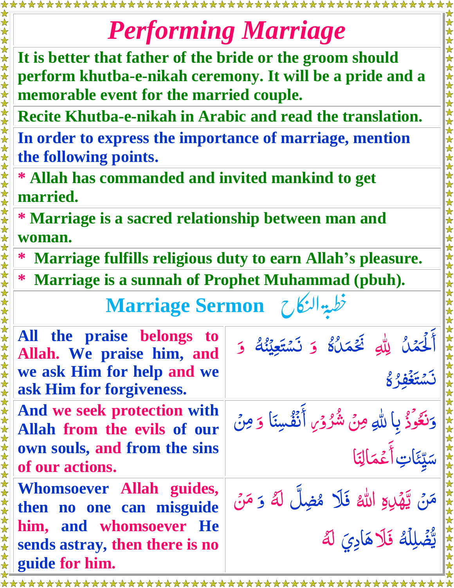## *Performing Marriage*

**It is better that father of the bride or the groom should perform khutba-e-nikah ceremony. It will be a pride and a memorable event for the married couple.**

**Recite Khutba-e-nikah in Arabic and read the translation.**

女女女女女女女女女女女

女女女女女女女女女女女女

**In order to express the importance of marriage, mention the following points.**

**\* Allah has commanded and invited mankind to get married.** 

女女女女女女女女女女女女女女女女女女女女女女女女女女女女女女

**\* Marriage is a sacred relationship between man and woman.**

**\* Marriage fulfills religious duty to earn Allah's pleasure.**

**\* Marriage is a sunnah of Prophet Muhammad (pbuh).** 0<br>,

خطبة النكا  $\ddot{\phantom{0}}$ |<br>|<br>| **Marriage Sermon** لن

| All the praise belongs to<br>Allah. We praise him, and<br>we ask Him for help and we<br>ask Him for forgiveness.                   | أَلْحَمْلُ لِلَّهِ فَجَمَلُهُ وَ نَسْتَعِيْنُهُ وَ<br>8 résim                      |
|------------------------------------------------------------------------------------------------------------------------------------|------------------------------------------------------------------------------------|
| And we seek protection with<br>Allah from the evils of our<br>own souls, and from the sins<br>of our actions.                      | وَنَعُوْذُ بِا للَّهِ مِنْ شُرُوۡىِ أَنۡفُسِنَا وَمِنۡ<br>سَيِّئَاتِ أَعْمَالِنَا  |
| Whomsoever Allah guides,<br>then no one can misguide<br>him, and whomsoever He<br>sends astray, then there is no<br>guide for him. | مَنْ يَّهْدِعِ اللَّهُ فَلَا مُضِلَّ لَهُ وَ مَنْ<br>يُّضْلِلُهُ فَلَاهَادِيَ لَهُ |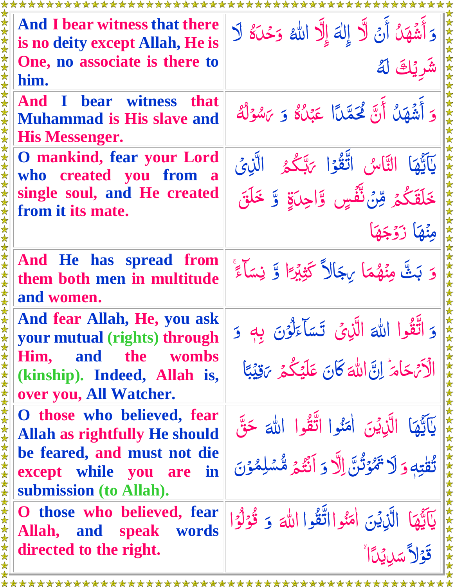| <b>And I bear witness that there</b><br>is no deity except Allah, He is                                        | وَأَشْهَدُ أَنْ لَّا إِلٰهَ إِلَّا الله وَحْدَهُ لَا                                                 |
|----------------------------------------------------------------------------------------------------------------|------------------------------------------------------------------------------------------------------|
| 女女女女<br>One, no associate is there to<br>him.                                                                  | شَر نَكَ لَهُ                                                                                        |
| <b>And I bear witness that</b><br><b>Muhammad is His slave and</b><br><b>His Messenger.</b>                    | وَ أَشْهَلُ أَنَّ لَحَمَّدًا عَبْلُ ۚ وَ يَسْوَلُهُ                                                  |
| <b>O</b> mankind, fear your Lord<br>who created you from a<br>single soul, and He created                      | يَآَيَّهَا التَّاسُ اتَّقُوْا يَتَكُّعُ الَّذِيَّ<br>خَلَقَكُمْ وِّنْ نَّفِّسٍ وَّاجِلَةٍ وَّ خَلَقَ |
| from it its mate.                                                                                              | مِنْهَا زَوْجَهَا                                                                                    |
| And He has spread from<br>them both men in multitude<br>and women.                                             | وَ بَثَّ مِنْهُمَا بِجَالاً كَثِبْرًا وَّ نِسَاءً ۚ                                                  |
| And fear Allah, He, you ask<br>your mutual (rights) through<br>Him, and<br>the<br><b>wombs</b>                 | وَ اتَّقُوا اللهَ الَّذِي تَسَاءَلُوْنَ بِهِ وَ                                                      |
| (kinship). Indeed, Allah is,<br>over you, All Watcher.                                                         | 女女女女女女女女<br>الْأَيْهَامَ إِنَّ اللَّهَ كَانَ عَلَيْكُمْ يَقِيْبًا                                    |
| O those who believed, fear<br><b>Allah as rightfully He should</b><br>be feared, and must not die              | يَآَيُّهَا الَّذِيْنَ اٰمَنُوا اتَّقُوا اللَّهَ حَقَّ                                                |
| except while you are in<br>submission (to Allah).                                                              | 女女女女女女女女女女<br>تُقْتِهِ وَلَا تَهْوَتُنَّ إِلَّا وَ أَنْتُمْ مُّسْلِمُوْنَ                            |
| 女女女女女女女女女女女女女女女女女女女女女女女女女<br>O those who believed, fear<br>speak words<br>Allah, and<br>directed to the right. | 女女女女女女女女人<br>يَآَيُّهَا الَّذِيْنَ امَنُوااتَّقُوا اللَّهَ 5 قُوْلُوًا<br>قَوْلاً سَلِيِّدَا ٌ       |
|                                                                                                                |                                                                                                      |